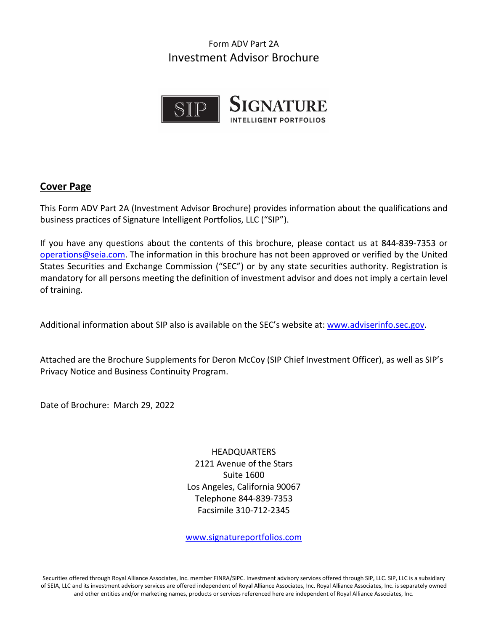# Form ADV Part 2A Investment Advisor Brochure



#### <span id="page-0-0"></span>**Cover Page**

This Form ADV Part 2A (Investment Advisor Brochure) provides information about the qualifications and business practices of Signature Intelligent Portfolios, LLC ("SIP").

If you have any questions about the contents of this brochure, please contact us at 844-839-7353 or [operations@seia.com.](mailto:operations@seia.com) The information in this brochure has not been approved or verified by the United States Securities and Exchange Commission ("SEC") or by any state securities authority. Registration is mandatory for all persons meeting the definition of investment advisor and does not imply a certain level of training.

Additional information about SIP also is available on the SEC's website at: [www.adviserinfo.sec.gov.](http://www.adviserinfo.sec.gov/)

Attached are the Brochure Supplements for Deron McCoy (SIP Chief Investment Officer), as well as SIP's Privacy Notice and Business Continuity Program.

Date of Brochure: March 29, 2022

HEADQUARTERS 2121 Avenue of the Stars Suite 1600 Los Angeles, California 90067 Telephone 844-839-7353 Facsimile 310-712-2345

[www.signatureportfolios.com](http://www.signatureportfolios.com/) 

Securities offered through Royal Alliance Associates, Inc. member FINRA/SIPC. Investment advisory services offered through SIP, LLC. SIP, LLC is a subsidiary of SEIA, LLC and its investment advisory services are offered independent of Royal Alliance Associates, Inc. Royal Alliance Associates, Inc. is separately owned and other entities and/or marketing names, products or services referenced here are independent of Royal Alliance Associates, Inc.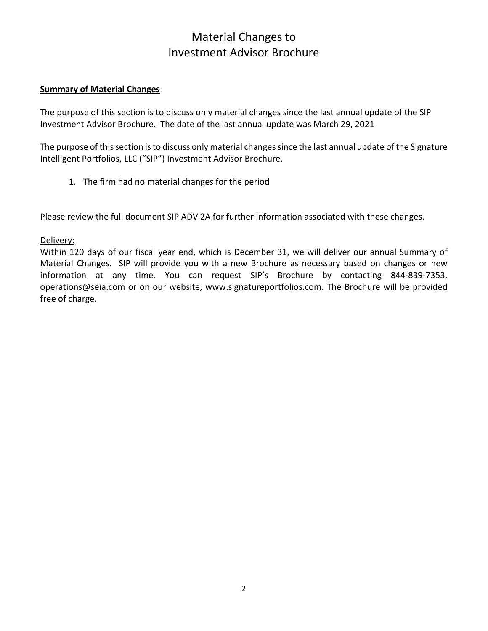# Material Changes to Investment Advisor Brochure

#### <span id="page-1-0"></span>**Summary of Material Changes**

The purpose of this section is to discuss only material changes since the last annual update of the SIP Investment Advisor Brochure. The date of the last annual update was March 29, 2021

The purpose of this section is to discuss only material changes since the last annual update of the Signature Intelligent Portfolios, LLC ("SIP") Investment Advisor Brochure.

1. The firm had no material changes for the period

Please review the full document SIP ADV 2A for further information associated with these changes.

Delivery:

Within 120 days of our fiscal year end, which is December 31, we will deliver our annual Summary of Material Changes. SIP will provide you with a new Brochure as necessary based on changes or new information at any time. You can request SIP's Brochure by contacting 844-839-7353, operations@seia.com or on our website, www.signatureportfolios.com. The Brochure will be provided free of charge.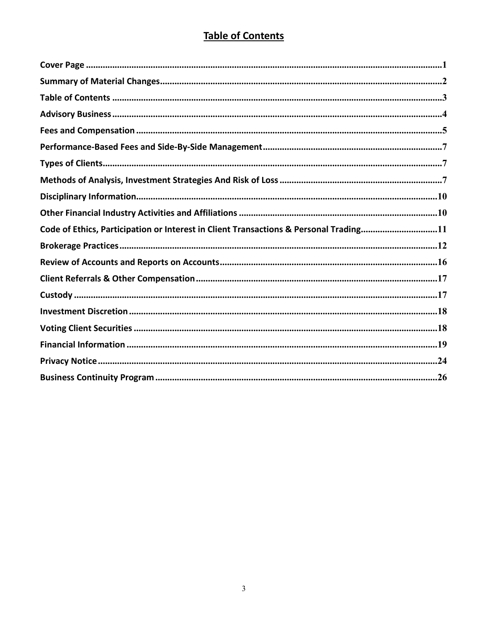# **Table of Contents**

<span id="page-2-0"></span>

| Code of Ethics, Participation or Interest in Client Transactions & Personal Trading11 |
|---------------------------------------------------------------------------------------|
|                                                                                       |
|                                                                                       |
|                                                                                       |
|                                                                                       |
|                                                                                       |
|                                                                                       |
|                                                                                       |
|                                                                                       |
|                                                                                       |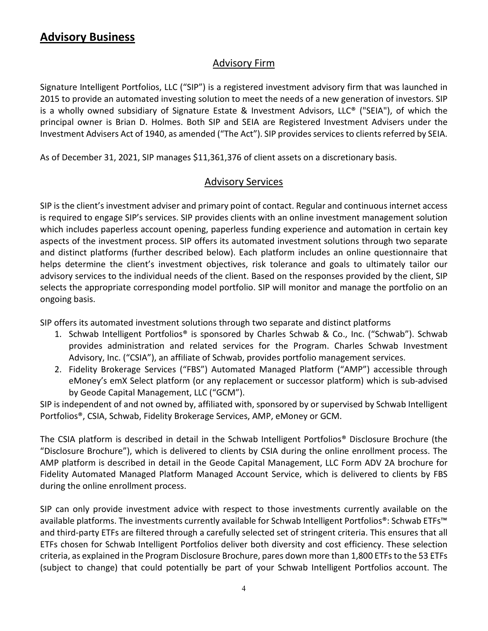# <span id="page-3-0"></span>**Advisory Business**

#### Advisory Firm

Signature Intelligent Portfolios, LLC ("SIP") is a registered investment advisory firm that was launched in 2015 to provide an automated investing solution to meet the needs of a new generation of investors. SIP is a wholly owned subsidiary of Signature Estate & Investment Advisors, LLC® ("SEIA"), of which the principal owner is Brian D. Holmes. Both SIP and SEIA are Registered Investment Advisers under the Investment Advisers Act of 1940, as amended ("The Act"). SIP provides services to clients referred by SEIA.

As of December 31, 2021, SIP manages \$11,361,376 of client assets on a discretionary basis.

#### Advisory Services

SIP is the client's investment adviser and primary point of contact. Regular and continuous internet access is required to engage SIP's services. SIP provides clients with an online investment management solution which includes paperless account opening, paperless funding experience and automation in certain key aspects of the investment process. SIP offers its automated investment solutions through two separate and distinct platforms (further described below). Each platform includes an online questionnaire that helps determine the client's investment objectives, risk tolerance and goals to ultimately tailor our advisory services to the individual needs of the client. Based on the responses provided by the client, SIP selects the appropriate corresponding model portfolio. SIP will monitor and manage the portfolio on an ongoing basis.

SIP offers its automated investment solutions through two separate and distinct platforms

- 1. Schwab Intelligent Portfolios® is sponsored by Charles Schwab & Co., Inc. ("Schwab"). Schwab provides administration and related services for the Program. Charles Schwab Investment Advisory, Inc. ("CSIA"), an affiliate of Schwab, provides portfolio management services.
- 2. Fidelity Brokerage Services ("FBS") Automated Managed Platform ("AMP") accessible through eMoney's emX Select platform (or any replacement or successor platform) which is sub-advised by Geode Capital Management, LLC ("GCM").

SIP is independent of and not owned by, affiliated with, sponsored by or supervised by Schwab Intelligent Portfolios®, CSIA, Schwab, Fidelity Brokerage Services, AMP, eMoney or GCM.

The CSIA platform is described in detail in the Schwab Intelligent Portfolios® Disclosure Brochure (the "Disclosure Brochure"), which is delivered to clients by CSIA during the online enrollment process. The AMP platform is described in detail in the Geode Capital Management, LLC Form ADV 2A brochure for Fidelity Automated Managed Platform Managed Account Service, which is delivered to clients by FBS during the online enrollment process.

SIP can only provide investment advice with respect to those investments currently available on the available platforms. The investments currently available for Schwab Intelligent Portfolios®: Schwab ETFs™ and third-party ETFs are filtered through a carefully selected set of stringent criteria. This ensures that all ETFs chosen for Schwab Intelligent Portfolios deliver both diversity and cost efficiency. These selection criteria, as explained in the Program Disclosure Brochure, pares down more than 1,800 ETFs to the 53 ETFs (subject to change) that could potentially be part of your Schwab Intelligent Portfolios account. The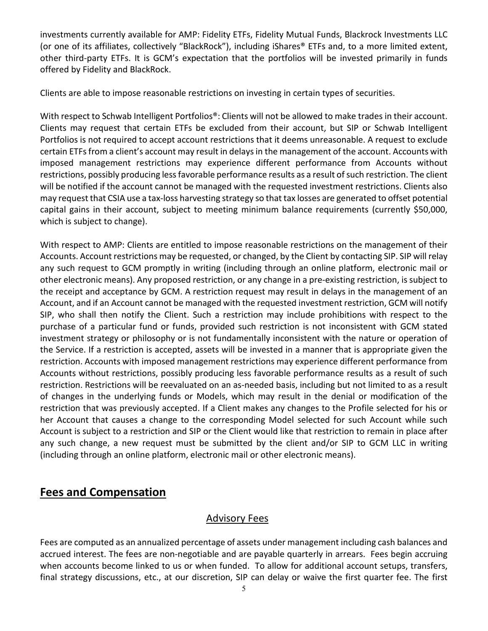investments currently available for AMP: Fidelity ETFs, Fidelity Mutual Funds, Blackrock Investments LLC (or one of its affiliates, collectively "BlackRock"), including iShares® ETFs and, to a more limited extent, other third-party ETFs. It is GCM's expectation that the portfolios will be invested primarily in funds offered by Fidelity and BlackRock.

Clients are able to impose reasonable restrictions on investing in certain types of securities.

With respect to Schwab Intelligent Portfolios®: Clients will not be allowed to make trades in their account. Clients may request that certain ETFs be excluded from their account, but SIP or Schwab Intelligent Portfolios is not required to accept account restrictions that it deems unreasonable. A request to exclude certain ETFs from a client's account may result in delays in the management of the account. Accounts with imposed management restrictions may experience different performance from Accounts without restrictions, possibly producing less favorable performance results as a result of such restriction. The client will be notified if the account cannot be managed with the requested investment restrictions. Clients also may request that CSIA use a tax-loss harvesting strategy so that tax losses are generated to offset potential capital gains in their account, subject to meeting minimum balance requirements (currently \$50,000, which is subject to change).

With respect to AMP: Clients are entitled to impose reasonable restrictions on the management of their Accounts. Account restrictions may be requested, or changed, by the Client by contacting SIP. SIP will relay any such request to GCM promptly in writing (including through an online platform, electronic mail or other electronic means). Any proposed restriction, or any change in a pre-existing restriction, is subject to the receipt and acceptance by GCM. A restriction request may result in delays in the management of an Account, and if an Account cannot be managed with the requested investment restriction, GCM will notify SIP, who shall then notify the Client. Such a restriction may include prohibitions with respect to the purchase of a particular fund or funds, provided such restriction is not inconsistent with GCM stated investment strategy or philosophy or is not fundamentally inconsistent with the nature or operation of the Service. If a restriction is accepted, assets will be invested in a manner that is appropriate given the restriction. Accounts with imposed management restrictions may experience different performance from Accounts without restrictions, possibly producing less favorable performance results as a result of such restriction. Restrictions will be reevaluated on an as-needed basis, including but not limited to as a result of changes in the underlying funds or Models, which may result in the denial or modification of the restriction that was previously accepted. If a Client makes any changes to the Profile selected for his or her Account that causes a change to the corresponding Model selected for such Account while such Account is subject to a restriction and SIP or the Client would like that restriction to remain in place after any such change, a new request must be submitted by the client and/or SIP to GCM LLC in writing (including through an online platform, electronic mail or other electronic means).

# <span id="page-4-0"></span>**Fees and Compensation**

## Advisory Fees

Fees are computed as an annualized percentage of assets under management including cash balances and accrued interest. The fees are non-negotiable and are payable quarterly in arrears. Fees begin accruing when accounts become linked to us or when funded. To allow for additional account setups, transfers, final strategy discussions, etc., at our discretion, SIP can delay or waive the first quarter fee. The first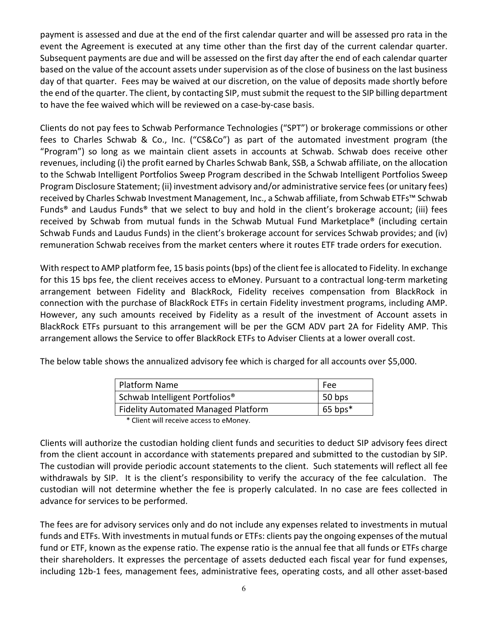payment is assessed and due at the end of the first calendar quarter and will be assessed pro rata in the event the Agreement is executed at any time other than the first day of the current calendar quarter. Subsequent payments are due and will be assessed on the first day after the end of each calendar quarter based on the value of the account assets under supervision as of the close of business on the last business day of that quarter. Fees may be waived at our discretion, on the value of deposits made shortly before the end of the quarter. The client, by contacting SIP, must submit the request to the SIP billing department to have the fee waived which will be reviewed on a case-by-case basis.

Clients do not pay fees to Schwab Performance Technologies ("SPT") or brokerage commissions or other fees to Charles Schwab & Co., Inc. ("CS&Co") as part of the automated investment program (the "Program") so long as we maintain client assets in accounts at Schwab. Schwab does receive other revenues, including (i) the profit earned by Charles Schwab Bank, SSB, a Schwab affiliate, on the allocation to the Schwab Intelligent Portfolios Sweep Program described in the Schwab Intelligent Portfolios Sweep Program Disclosure Statement; (ii) investment advisory and/or administrative service fees (or unitary fees) received by Charles Schwab Investment Management, Inc., a Schwab affiliate, from Schwab ETFs™ Schwab Funds® and Laudus Funds® that we select to buy and hold in the client's brokerage account; (iii) fees received by Schwab from mutual funds in the Schwab Mutual Fund Marketplace® (including certain Schwab Funds and Laudus Funds) in the client's brokerage account for services Schwab provides; and (iv) remuneration Schwab receives from the market centers where it routes ETF trade orders for execution.

With respect to AMP platform fee, 15 basis points (bps) of the client fee is allocated to Fidelity. In exchange for this 15 bps fee, the client receives access to eMoney. Pursuant to a contractual long-term marketing arrangement between Fidelity and BlackRock, Fidelity receives compensation from BlackRock in connection with the purchase of BlackRock ETFs in certain Fidelity investment programs, including AMP. However, any such amounts received by Fidelity as a result of the investment of Account assets in BlackRock ETFs pursuant to this arrangement will be per the GCM ADV part 2A for Fidelity AMP. This arrangement allows the Service to offer BlackRock ETFs to Adviser Clients at a lower overall cost.

The below table shows the annualized advisory fee which is charged for all accounts over \$5,000.

| Platform Name                                        | Fee       |
|------------------------------------------------------|-----------|
| Schwab Intelligent Portfolios <sup>®</sup>           | 50 bps    |
| <b>Fidelity Automated Managed Platform</b>           | $65$ bps* |
| $\star$ client in the sector concerns to the sector. |           |

\* Client will receive access to eMoney.

Clients will authorize the custodian holding client funds and securities to deduct SIP advisory fees direct from the client account in accordance with statements prepared and submitted to the custodian by SIP. The custodian will provide periodic account statements to the client. Such statements will reflect all fee withdrawals by SIP. It is the client's responsibility to verify the accuracy of the fee calculation. The custodian will not determine whether the fee is properly calculated. In no case are fees collected in advance for services to be performed.

The fees are for advisory services only and do not include any expenses related to investments in mutual funds and ETFs. With investments in mutual funds or ETFs: clients pay the ongoing expenses of the mutual fund or ETF, known as the expense ratio. The expense ratio is the annual fee that all funds or ETFs charge their shareholders. It expresses the percentage of assets deducted each fiscal year for fund expenses, including 12b-1 fees, management fees, administrative fees, operating costs, and all other asset-based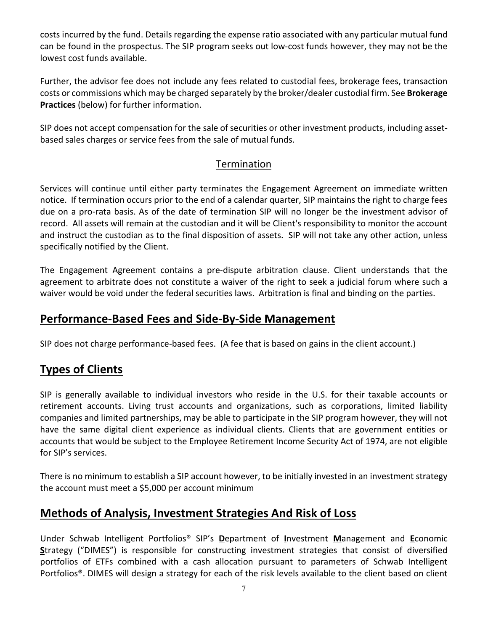costs incurred by the fund. Details regarding the expense ratio associated with any particular mutual fund can be found in the prospectus. The SIP program seeks out low-cost funds however, they may not be the lowest cost funds available.

Further, the advisor fee does not include any fees related to custodial fees, brokerage fees, transaction costs or commissions which may be charged separately by the broker/dealer custodial firm. See **Brokerage Practices** (below) for further information.

SIP does not accept compensation for the sale of securities or other investment products, including assetbased sales charges or service fees from the sale of mutual funds.

## Termination

Services will continue until either party terminates the Engagement Agreement on immediate written notice. If termination occurs prior to the end of a calendar quarter, SIP maintains the right to charge fees due on a pro-rata basis. As of the date of termination SIP will no longer be the investment advisor of record. All assets will remain at the custodian and it will be Client's responsibility to monitor the account and instruct the custodian as to the final disposition of assets. SIP will not take any other action, unless specifically notified by the Client.

The Engagement Agreement contains a pre-dispute arbitration clause. Client understands that the agreement to arbitrate does not constitute a waiver of the right to seek a judicial forum where such a waiver would be void under the federal securities laws. Arbitration is final and binding on the parties.

# <span id="page-6-0"></span>**Performance-Based Fees and Side-By-Side Management**

SIP does not charge performance-based fees. (A fee that is based on gains in the client account.)

# <span id="page-6-1"></span>**Types of Clients**

SIP is generally available to individual investors who reside in the U.S. for their taxable accounts or retirement accounts. Living trust accounts and organizations, such as corporations, limited liability companies and limited partnerships, may be able to participate in the SIP program however, they will not have the same digital client experience as individual clients. Clients that are government entities or accounts that would be subject to the Employee Retirement Income Security Act of 1974, are not eligible for SIP's services.

There is no minimum to establish a SIP account however, to be initially invested in an investment strategy the account must meet a \$5,000 per account minimum

# <span id="page-6-2"></span>**Methods of Analysis, Investment Strategies And Risk of Loss**

Under Schwab Intelligent Portfolios® SIP's **D**epartment of **I**nvestment **M**anagement and **E**conomic **S**trategy ("DIMES") is responsible for constructing investment strategies that consist of diversified portfolios of ETFs combined with a cash allocation pursuant to parameters of Schwab Intelligent Portfolios®. DIMES will design a strategy for each of the risk levels available to the client based on client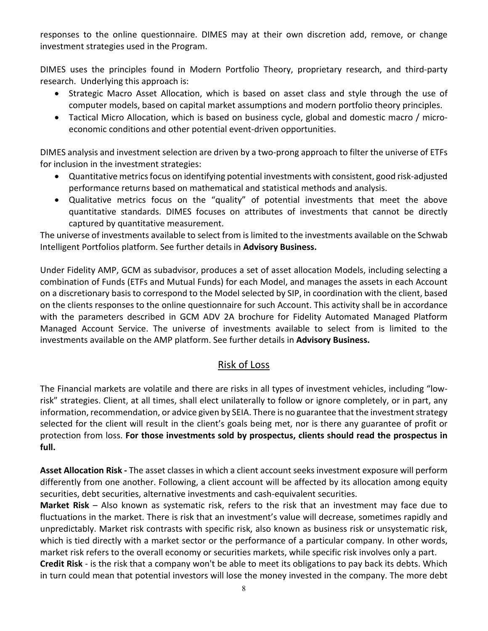responses to the online questionnaire. DIMES may at their own discretion add, remove, or change investment strategies used in the Program.

DIMES uses the principles found in Modern Portfolio Theory, proprietary research, and third-party research. Underlying this approach is:

- Strategic Macro Asset Allocation, which is based on asset class and style through the use of computer models, based on capital market assumptions and modern portfolio theory principles.
- Tactical Micro Allocation, which is based on business cycle, global and domestic macro / microeconomic conditions and other potential event-driven opportunities.

DIMES analysis and investment selection are driven by a two-prong approach to filter the universe of ETFs for inclusion in the investment strategies:

- Quantitative metrics focus on identifying potential investments with consistent, good risk-adjusted performance returns based on mathematical and statistical methods and analysis.
- Qualitative metrics focus on the "quality" of potential investments that meet the above quantitative standards. DIMES focuses on attributes of investments that cannot be directly captured by quantitative measurement.

The universe of investments available to select from is limited to the investments available on the Schwab Intelligent Portfolios platform. See further details in **Advisory Business.**

Under Fidelity AMP, GCM as subadvisor, produces a set of asset allocation Models, including selecting a combination of Funds (ETFs and Mutual Funds) for each Model, and manages the assets in each Account on a discretionary basis to correspond to the Model selected by SIP, in coordination with the client, based on the clients responses to the online questionnaire for such Account. This activity shall be in accordance with the parameters described in GCM ADV 2A brochure for Fidelity Automated Managed Platform Managed Account Service. The universe of investments available to select from is limited to the investments available on the AMP platform. See further details in **Advisory Business.**

## Risk of Loss

The Financial markets are volatile and there are risks in all types of investment vehicles, including "lowrisk" strategies. Client, at all times, shall elect unilaterally to follow or ignore completely, or in part, any information, recommendation, or advice given by SEIA. There is no guarantee that the investment strategy selected for the client will result in the client's goals being met, nor is there any guarantee of profit or protection from loss. **For those investments sold by prospectus, clients should read the prospectus in full.**

**Asset Allocation Risk -** The asset classes in which a client account seeks investment exposure will perform differently from one another. Following, a client account will be affected by its allocation among equity securities, debt securities, alternative investments and cash-equivalent securities.

**Market Risk** – Also known as systematic risk, refers to the risk that an investment may face due to fluctuations in the market. There is risk that an investment's value will decrease, sometimes rapidly and unpredictably. Market risk contrasts with specific risk, also known as business risk or unsystematic risk, which is tied directly with a market sector or the performance of a particular company. In other words, market risk refers to the overall economy or securities markets, while specific risk involves only a part. **Credit Risk** - is the risk that a company won't be able to meet its obligations to pay back its debts. Which in turn could mean that potential investors will lose the money invested in the company. The more debt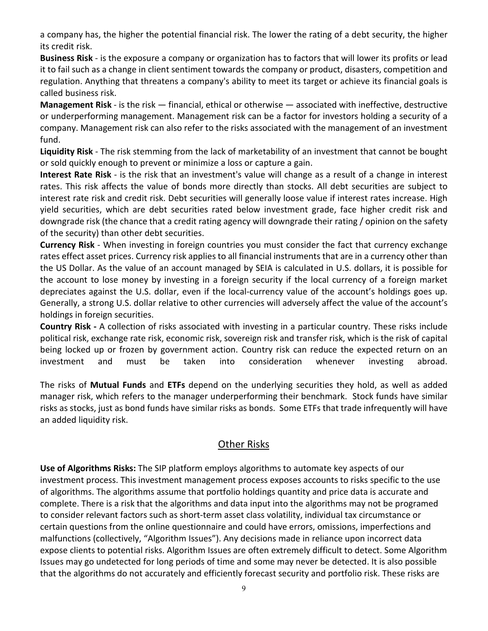a company has, the higher the potential financial risk. The lower the rating of a debt security, the higher its credit risk.

**Business Risk** - is the exposure a company or organization has to factors that will lower its profits or lead it to fail such as a change in client sentiment towards the company or product, disasters, competition and regulation. Anything that threatens a company's ability to meet its target or achieve its financial goals is called business risk.

**Management Risk** - is the risk — financial, ethical or otherwise — associated with ineffective, destructive or underperforming management. Management risk can be a factor for investors holding a security of a company. Management risk can also refer to the risks associated with the management of an investment fund.

**Liquidity Risk** - The risk stemming from the lack of marketability of an [investment](http://www.investopedia.com/terms/l/liquidityrisk.asp##) that cannot be bought or sold quickly enough to prevent or minimize a loss or capture a gain.

**Interest Rate Risk** - is the risk that an investment's value will change as a result of a change in interest rates. This risk affects the value of bonds more directly than [stocks.](http://www.investopedia.com/university/risk/risk2.asp##) All debt securities are subject to interest rate risk and credit risk. Debt securities will generally loose value if interest rates increase. High yield securities, which are debt securities rated below investment grade, face higher credit risk and downgrade risk (the chance that a credit rating agency will downgrade their rating / opinion on the safety of the security) than other debt securities.

**Currency Risk** - When [investing](http://www.investopedia.com/university/risk/risk2.asp##) in foreign countries you must consider the fact that currency exchange rates effect asset prices. [Currency](http://www.investopedia.com/terms/f/foreignexchangerisk.asp) risk applies to all financial instruments that are in a currency other than the US Dollar. As the value of an account managed by SEIA is calculated in U.S. dollars, it is possible for the account to lose money by investing in a foreign security if the local currency of a foreign market depreciates against the U.S. dollar, even if the local-currency value of the account's holdings goes up. Generally, a strong U.S. dollar relative to other currencies will adversely affect the value of the account's holdings in foreign securities.

**Country Risk -** A collection of risks associated with investing in a particular country. These risks include political risk, exchange rate risk, economic risk, sovereign risk and transfer risk, which is the risk of capital being locked up or frozen by government action. Country risk can reduce the expected return on an [investment](http://www.investopedia.com/terms/c/countryrisk.asp##) and must be taken into consideration whenever investing abroad.

The risks of **Mutual Funds** and **ETFs** depend on the underlying securities they hold, as well as added manager risk, which refers to the manager underperforming their benchmark. Stock funds have similar risks as stocks, just as bond funds have similar risks as bonds. Some ETFs that trade infrequently will have an added liquidity risk.

## Other Risks

**Use of Algorithms Risks:** The SIP platform employs algorithms to automate key aspects of our investment process. This investment management process exposes accounts to risks specific to the use of algorithms. The algorithms assume that portfolio holdings quantity and price data is accurate and complete. There is a risk that the algorithms and data input into the algorithms may not be programed to consider relevant factors such as short-term asset class volatility, individual tax circumstance or certain questions from the online questionnaire and could have errors, omissions, imperfections and malfunctions (collectively, "Algorithm Issues"). Any decisions made in reliance upon incorrect data expose clients to potential risks. Algorithm Issues are often extremely difficult to detect. Some Algorithm Issues may go undetected for long periods of time and some may never be detected. It is also possible that the algorithms do not accurately and efficiently forecast security and portfolio risk. These risks are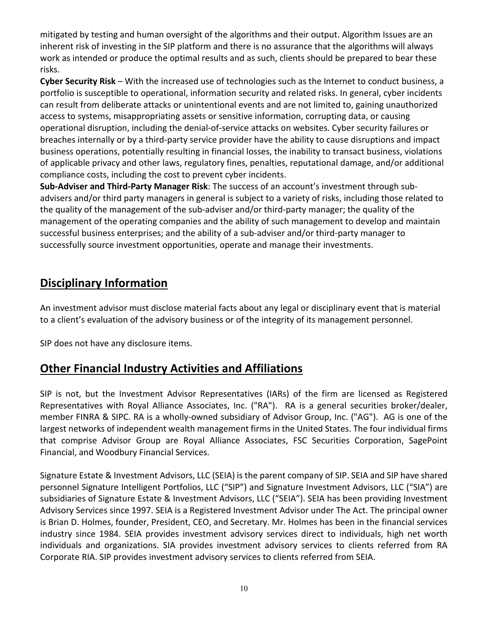mitigated by testing and human oversight of the algorithms and their output. Algorithm Issues are an inherent risk of investing in the SIP platform and there is no assurance that the algorithms will always work as intended or produce the optimal results and as such, clients should be prepared to bear these risks.

**Cyber Security Risk** – With the increased use of technologies such as the Internet to conduct business, a portfolio is susceptible to operational, information security and related risks. In general, cyber incidents can result from deliberate attacks or unintentional events and are not limited to, gaining unauthorized access to systems, misappropriating assets or sensitive information, corrupting data, or causing operational disruption, including the denial-of-service attacks on websites. Cyber security failures or breaches internally or by a third-party service provider have the ability to cause disruptions and impact business operations, potentially resulting in financial losses, the inability to transact business, violations of applicable privacy and other laws, regulatory fines, penalties, reputational damage, and/or additional compliance costs, including the cost to prevent cyber incidents.

**Sub-Adviser and Third-Party Manager Risk**: The success of an account's investment through subadvisers and/or third party managers in general is subject to a variety of risks, including those related to the quality of the management of the sub-adviser and/or third-party manager; the quality of the management of the operating companies and the ability of such management to develop and maintain successful business enterprises; and the ability of a sub-adviser and/or third-party manager to successfully source investment opportunities, operate and manage their investments.

# <span id="page-9-0"></span>**Disciplinary Information**

An investment advisor must disclose material facts about any legal or disciplinary event that is material to a client's evaluation of the advisory business or of the integrity of its management personnel.

SIP does not have any disclosure items.

# <span id="page-9-1"></span>**Other Financial Industry Activities and Affiliations**

SIP is not, but the Investment Advisor Representatives (IARs) of the firm are licensed as Registered Representatives with Royal Alliance Associates, Inc. ("RA"). RA is a general securities broker/dealer, member FINRA & SIPC. RA is a wholly-owned subsidiary of Advisor Group, Inc. ("AG"). AG is one of the largest networks of independent wealth management firms in the United States. The four individual firms that comprise Advisor Group are Royal Alliance Associates, FSC Securities Corporation, SagePoint Financial, and Woodbury Financial Services.

Signature Estate & Investment Advisors, LLC (SEIA) is the parent company of SIP. SEIA and SIP have shared personnel Signature Intelligent Portfolios, LLC ("SIP") and Signature Investment Advisors, LLC ("SIA") are subsidiaries of Signature Estate & Investment Advisors, LLC ("SEIA"). SEIA has been providing Investment Advisory Services since 1997. SEIA is a Registered Investment Advisor under The Act. The principal owner is Brian D. Holmes, founder, President, CEO, and Secretary. Mr. Holmes has been in the financial services industry since 1984. SEIA provides investment advisory services direct to individuals, high net worth individuals and organizations. SIA provides investment advisory services to clients referred from RA Corporate RIA. SIP provides investment advisory services to clients referred from SEIA.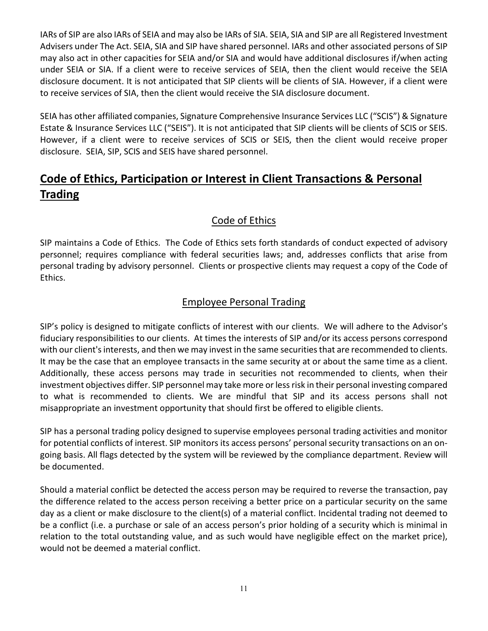IARs of SIP are also IARs of SEIA and may also be IARs of SIA. SEIA, SIA and SIP are all Registered Investment Advisers under The Act. SEIA, SIA and SIP have shared personnel. IARs and other associated persons of SIP may also act in other capacities for SEIA and/or SIA and would have additional disclosures if/when acting under SEIA or SIA. If a client were to receive services of SEIA, then the client would receive the SEIA disclosure document. It is not anticipated that SIP clients will be clients of SIA. However, if a client were to receive services of SIA, then the client would receive the SIA disclosure document.

SEIA has other affiliated companies, Signature Comprehensive Insurance Services LLC ("SCIS") & Signature Estate & Insurance Services LLC ("SEIS"). It is not anticipated that SIP clients will be clients of SCIS or SEIS. However, if a client were to receive services of SCIS or SEIS, then the client would receive proper disclosure. SEIA, SIP, SCIS and SEIS have shared personnel.

# <span id="page-10-0"></span>**Code of Ethics, Participation or Interest in Client Transactions & Personal Trading**

# Code of Ethics

SIP maintains a Code of Ethics. The Code of Ethics sets forth standards of conduct expected of advisory personnel; requires compliance with federal securities laws; and, addresses conflicts that arise from personal trading by advisory personnel. Clients or prospective clients may request a copy of the Code of Ethics.

## Employee Personal Trading

SIP's policy is designed to mitigate conflicts of interest with our clients. We will adhere to the Advisor's fiduciary responsibilities to our clients. At times the interests of SIP and/or its access persons correspond with our client's interests, and then we may invest in the same securities that are recommended to clients. It may be the case that an employee transacts in the same security at or about the same time as a client. Additionally, these access persons may trade in securities not recommended to clients, when their investment objectives differ. SIP personnel may take more or less risk in their personal investing compared to what is recommended to clients. We are mindful that SIP and its access persons shall not misappropriate an investment opportunity that should first be offered to eligible clients.

SIP has a personal trading policy designed to supervise employees personal trading activities and monitor for potential conflicts of interest. SIP monitors its access persons' personal security transactions on an ongoing basis. All flags detected by the system will be reviewed by the compliance department. Review will be documented.

Should a material conflict be detected the access person may be required to reverse the transaction, pay the difference related to the access person receiving a better price on a particular security on the same day as a client or make disclosure to the client(s) of a material conflict. Incidental trading not deemed to be a conflict (i.e. a purchase or sale of an access person's prior holding of a security which is minimal in relation to the total outstanding value, and as such would have negligible effect on the market price), would not be deemed a material conflict.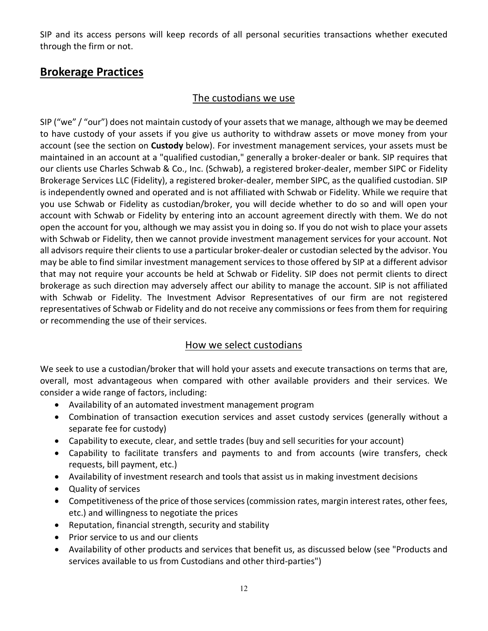SIP and its access persons will keep records of all personal securities transactions whether executed through the firm or not.

# <span id="page-11-0"></span>**Brokerage Practices**

#### The custodians we use

SIP ("we" / "our") does not maintain custody of your assets that we manage, although we may be deemed to have custody of your assets if you give us authority to withdraw assets or move money from your account (see the section on **Custody** below). For investment management services, your assets must be maintained in an account at a "qualified custodian," generally a broker-dealer or bank. SIP requires that our clients use Charles Schwab & Co., Inc. (Schwab), a registered broker-dealer, member SIPC or Fidelity Brokerage Services LLC (Fidelity), a registered broker-dealer, member SIPC, as the qualified custodian. SIP is independently owned and operated and is not affiliated with Schwab or Fidelity. While we require that you use Schwab or Fidelity as custodian/broker, you will decide whether to do so and will open your account with Schwab or Fidelity by entering into an account agreement directly with them. We do not open the account for you, although we may assist you in doing so. If you do not wish to place your assets with Schwab or Fidelity, then we cannot provide investment management services for your account. Not all advisors require their clients to use a particular broker-dealer or custodian selected by the advisor. You may be able to find similar investment management services to those offered by SIP at a different advisor that may not require your accounts be held at Schwab or Fidelity. SIP does not permit clients to direct brokerage as such direction may adversely affect our ability to manage the account. SIP is not affiliated with Schwab or Fidelity. The Investment Advisor Representatives of our firm are not registered representatives of Schwab or Fidelity and do not receive any commissions or fees from them for requiring or recommending the use of their services.

## How we select custodians

We seek to use a custodian/broker that will hold your assets and execute transactions on terms that are, overall, most advantageous when compared with other available providers and their services. We consider a wide range of factors, including:

- Availability of an automated investment management program
- Combination of transaction execution services and asset custody services (generally without a separate fee for custody)
- Capability to execute, clear, and settle trades (buy and sell securities for your account)
- Capability to facilitate transfers and payments to and from accounts (wire transfers, check requests, bill payment, etc.)
- Availability of investment research and tools that assist us in making investment decisions
- Quality of services
- Competitiveness of the price of those services (commission rates, margin interest rates, other fees, etc.) and willingness to negotiate the prices
- Reputation, financial strength, security and stability
- Prior service to us and our clients
- Availability of other products and services that benefit us, as discussed below (see "Products and services available to us from Custodians and other third-parties")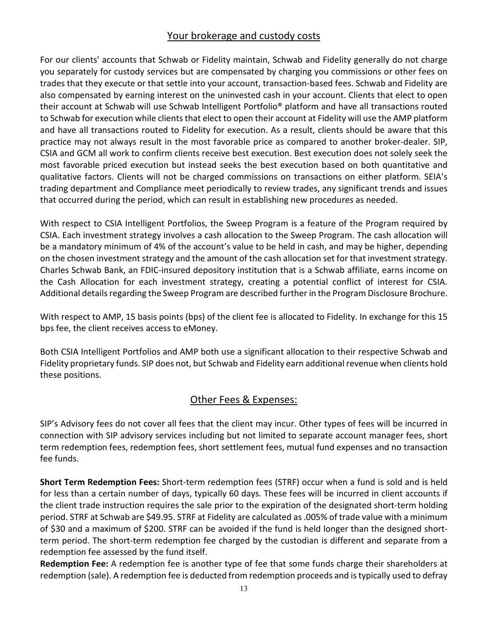## Your brokerage and custody costs

For our clients' accounts that Schwab or Fidelity maintain, Schwab and Fidelity generally do not charge you separately for custody services but are compensated by charging you commissions or other fees on trades that they execute or that settle into your account, transaction-based fees. Schwab and Fidelity are also compensated by earning interest on the uninvested cash in your account. Clients that elect to open their account at Schwab will use Schwab Intelligent Portfolio® platform and have all transactions routed to Schwab for execution while clients that elect to open their account at Fidelity will use the AMP platform and have all transactions routed to Fidelity for execution. As a result, clients should be aware that this practice may not always result in the most favorable price as compared to another broker-dealer. SIP, CSIA and GCM all work to confirm clients receive best execution. Best execution does not solely seek the most favorable priced execution but instead seeks the best execution based on both quantitative and qualitative factors. Clients will not be charged commissions on transactions on either platform. SEIA's trading department and Compliance meet periodically to review trades, any significant trends and issues that occurred during the period, which can result in establishing new procedures as needed.

With respect to CSIA Intelligent Portfolios, the Sweep Program is a feature of the Program required by CSIA. Each investment strategy involves a cash allocation to the Sweep Program. The cash allocation will be a mandatory minimum of 4% of the account's value to be held in cash, and may be higher, depending on the chosen investment strategy and the amount of the cash allocation set for that investment strategy. Charles Schwab Bank, an FDIC-insured depository institution that is a Schwab affiliate, earns income on the Cash Allocation for each investment strategy, creating a potential conflict of interest for CSIA. Additional details regarding the Sweep Program are described further in the Program Disclosure Brochure.

With respect to AMP, 15 basis points (bps) of the client fee is allocated to Fidelity. In exchange for this 15 bps fee, the client receives access to eMoney.

Both CSIA Intelligent Portfolios and AMP both use a significant allocation to their respective Schwab and Fidelity proprietary funds. SIP does not, but Schwab and Fidelity earn additional revenue when clients hold these positions.

## Other Fees & Expenses:

SIP's Advisory fees do not cover all fees that the client may incur. Other types of fees will be incurred in connection with SIP advisory services including but not limited to separate account manager fees, short term redemption fees, redemption fees, short settlement fees, mutual fund expenses and no transaction fee funds.

**Short Term Redemption Fees:** Short-term redemption fees (STRF) occur when a fund is sold and is held for less than a certain number of days, typically 60 days. These fees will be incurred in client accounts if the client trade instruction requires the sale prior to the expiration of the designated short-term holding period. STRF at Schwab are \$49.95. STRF at Fidelity are calculated as .005% of trade value with a minimum of \$30 and a maximum of \$200. STRF can be avoided if the fund is held longer than the designed shortterm period. The short-term redemption fee charged by the custodian is different and separate from a redemption fee assessed by the fund itself.

**Redemption Fee:** A redemption fee is another type of fee that some funds charge their shareholders at redemption (sale). A redemption fee is deducted from redemption proceeds and is typically used to defray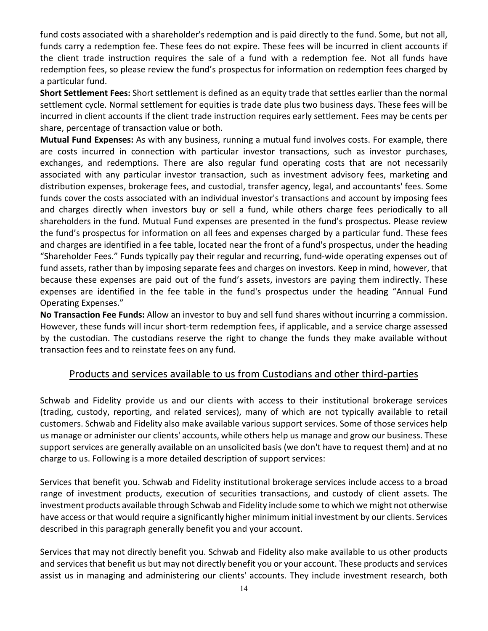fund costs associated with a shareholder's redemption and is paid directly to the fund. Some, but not all, funds carry a redemption fee. These fees do not expire. These fees will be incurred in client accounts if the client trade instruction requires the sale of a fund with a redemption fee. Not all funds have redemption fees, so please review the fund's prospectus for information on redemption fees charged by a particular fund.

**Short Settlement Fees:** Short settlement is defined as an equity trade that settles earlier than the normal settlement cycle. Normal settlement for equities is trade date plus two business days. These fees will be incurred in client accounts if the client trade instruction requires early settlement. Fees may be cents per share, percentage of transaction value or both.

**Mutual Fund Expenses:** As with any business, running a mutual fund involves costs. For example, there are costs incurred in connection with particular investor transactions, such as investor purchases, exchanges, and redemptions. There are also regular fund operating costs that are not necessarily associated with any particular investor transaction, such as investment advisory fees, marketing and distribution expenses, brokerage fees, and custodial, transfer agency, legal, and accountants' fees. Some funds cover the costs associated with an individual investor's transactions and account by imposing fees and charges directly when investors buy or sell a fund, while others charge fees periodically to all shareholders in the fund. Mutual Fund expenses are presented in the fund's prospectus. Please review the fund's prospectus for information on all fees and expenses charged by a particular fund. These fees and charges are identified in a fee table, located near the front of a fund's prospectus, under the heading "Shareholder Fees." Funds typically pay their regular and recurring, fund-wide operating expenses out of fund assets, rather than by imposing separate fees and charges on investors. Keep in mind, however, that because these expenses are paid out of the fund's assets, investors are paying them indirectly. These expenses are identified in the fee table in the fund's prospectus under the heading "Annual Fund Operating Expenses."

**No Transaction Fee Funds:** Allow an investor to buy and sell fund shares without incurring a commission. However, these funds will incur short-term redemption fees, if applicable, and a service charge assessed by the custodian. The custodians reserve the right to change the funds they make available without transaction fees and to reinstate fees on any fund.

#### Products and services available to us from Custodians and other third-parties

Schwab and Fidelity provide us and our clients with access to their institutional brokerage services (trading, custody, reporting, and related services), many of which are not typically available to retail customers. Schwab and Fidelity also make available various support services. Some of those services help us manage or administer our clients' accounts, while others help us manage and grow our business. These support services are generally available on an unsolicited basis (we don't have to request them) and at no charge to us. Following is a more detailed description of support services:

Services that benefit you. Schwab and Fidelity institutional brokerage services include access to a broad range of investment products, execution of securities transactions, and custody of client assets. The investment products available through Schwab and Fidelity include some to which we might not otherwise have access or that would require a significantly higher minimum initial investment by our clients. Services described in this paragraph generally benefit you and your account.

Services that may not directly benefit you. Schwab and Fidelity also make available to us other products and services that benefit us but may not directly benefit you or your account. These products and services assist us in managing and administering our clients' accounts. They include investment research, both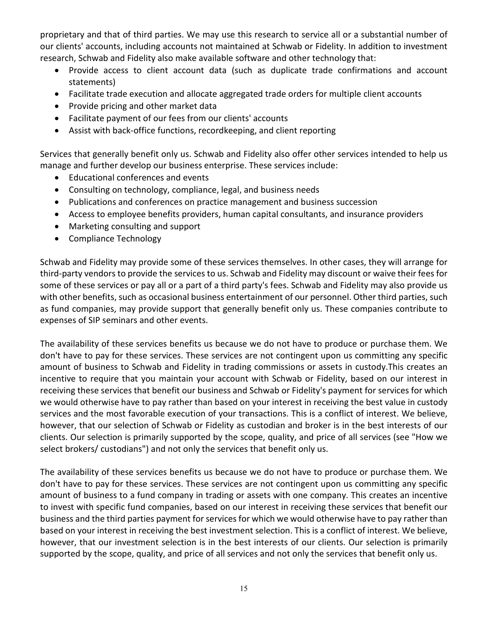proprietary and that of third parties. We may use this research to service all or a substantial number of our clients' accounts, including accounts not maintained at Schwab or Fidelity. In addition to investment research, Schwab and Fidelity also make available software and other technology that:

- Provide access to client account data (such as duplicate trade confirmations and account statements)
- Facilitate trade execution and allocate aggregated trade orders for multiple client accounts
- Provide pricing and other market data
- Facilitate payment of our fees from our clients' accounts
- Assist with back-office functions, recordkeeping, and client reporting

Services that generally benefit only us. Schwab and Fidelity also offer other services intended to help us manage and further develop our business enterprise. These services include:

- Educational conferences and events
- Consulting on technology, compliance, legal, and business needs
- Publications and conferences on practice management and business succession
- Access to employee benefits providers, human capital consultants, and insurance providers
- Marketing consulting and support
- Compliance Technology

Schwab and Fidelity may provide some of these services themselves. In other cases, they will arrange for third-party vendors to provide the services to us. Schwab and Fidelity may discount or waive their fees for some of these services or pay all or a part of a third party's fees. Schwab and Fidelity may also provide us with other benefits, such as occasional business entertainment of our personnel. Other third parties, such as fund companies, may provide support that generally benefit only us. These companies contribute to expenses of SIP seminars and other events.

The availability of these services benefits us because we do not have to produce or purchase them. We don't have to pay for these services. These services are not contingent upon us committing any specific amount of business to Schwab and Fidelity in trading commissions or assets in custody.This creates an incentive to require that you maintain your account with Schwab or Fidelity, based on our interest in receiving these services that benefit our business and Schwab or Fidelity's payment for services for which we would otherwise have to pay rather than based on your interest in receiving the best value in custody services and the most favorable execution of your transactions. This is a conflict of interest. We believe, however, that our selection of Schwab or Fidelity as custodian and broker is in the best interests of our clients. Our selection is primarily supported by the scope, quality, and price of all services (see "How we select brokers/ custodians") and not only the services that benefit only us.

The availability of these services benefits us because we do not have to produce or purchase them. We don't have to pay for these services. These services are not contingent upon us committing any specific amount of business to a fund company in trading or assets with one company. This creates an incentive to invest with specific fund companies, based on our interest in receiving these services that benefit our business and the third parties payment for services for which we would otherwise have to pay rather than based on your interest in receiving the best investment selection. This is a conflict of interest. We believe, however, that our investment selection is in the best interests of our clients. Our selection is primarily supported by the scope, quality, and price of all services and not only the services that benefit only us.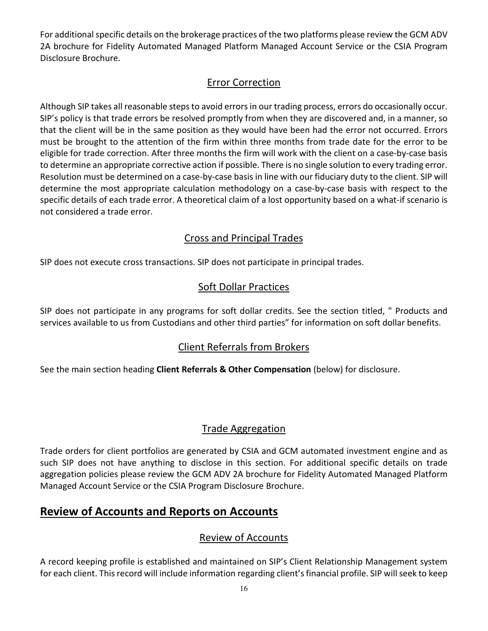For additional specific details on the brokerage practices of the two platforms please review the GCM ADV 2A brochure for Fidelity Automated Managed Platform Managed Account Service or the CSIA Program Disclosure Brochure.

## Error Correction

Although SIP takes all reasonable steps to avoid errors in our trading process, errors do occasionally occur. SIP's policy is that trade errors be resolved promptly from when they are discovered and, in a manner, so that the client will be in the same position as they would have been had the error not occurred. Errors must be brought to the attention of the firm within three months from trade date for the error to be eligible for trade correction. After three months the firm will work with the client on a case-by-case basis to determine an appropriate corrective action if possible. There is no single solution to every trading error. Resolution must be determined on a case-by-case basis in line with our fiduciary duty to the client. SIP will determine the most appropriate calculation methodology on a case-by-case basis with respect to the specific details of each trade error. A theoretical claim of a lost opportunity based on a what-if scenario is not considered a trade error.

## Cross and Principal Trades

SIP does not execute cross transactions. SIP does not participate in principal trades.

# Soft Dollar Practices

SIP does not participate in any programs for soft dollar credits. See the section titled, " Products and services available to us from Custodians and other third parties" for information on soft dollar benefits.

# Client Referrals from Brokers

See the main section heading **Client Referrals & Other Compensation** (below) for disclosure.

## Trade Aggregation

Trade orders for client portfolios are generated by CSIA and GCM automated investment engine and as such SIP does not have anything to disclose in this section. For additional specific details on trade aggregation policies please review the GCM ADV 2A brochure for Fidelity Automated Managed Platform Managed Account Service or the CSIA Program Disclosure Brochure.

# <span id="page-15-0"></span>**Review of Accounts and Reports on Accounts**

# Review of Accounts

A record keeping profile is established and maintained on SIP's Client Relationship Management system for each client. This record will include information regarding client's financial profile. SIP will seek to keep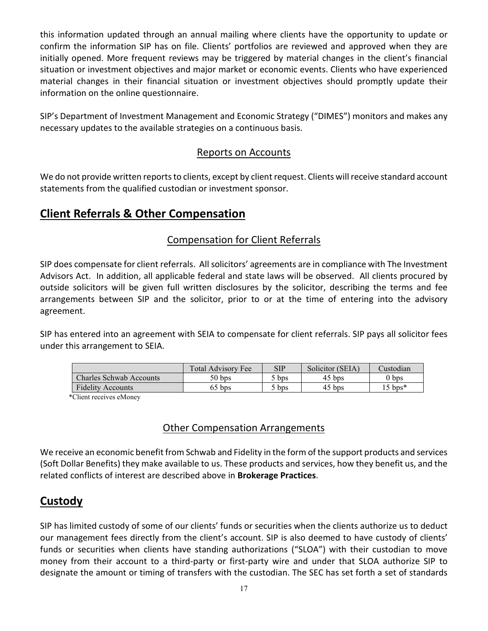this information updated through an annual mailing where clients have the opportunity to update or confirm the information SIP has on file. Clients' portfolios are reviewed and approved when they are initially opened. More frequent reviews may be triggered by material changes in the client's financial situation or investment objectives and major market or economic events. Clients who have experienced material changes in their financial situation or investment objectives should promptly update their information on the online questionnaire.

SIP's Department of Investment Management and Economic Strategy ("DIMES") monitors and makes any necessary updates to the available strategies on a continuous basis.

#### Reports on Accounts

We do not provide written reports to clients, except by client request. Clients will receive standard account statements from the qualified custodian or investment sponsor.

# <span id="page-16-0"></span>**Client Referrals & Other Compensation**

## Compensation for Client Referrals

SIP does compensate for client referrals. All solicitors' agreements are in compliance with The Investment Advisors Act. In addition, all applicable federal and state laws will be observed. All clients procured by outside solicitors will be given full written disclosures by the solicitor, describing the terms and fee arrangements between SIP and the solicitor, prior to or at the time of entering into the advisory agreement.

SIP has entered into an agreement with SEIA to compensate for client referrals. SIP pays all solicitor fees under this arrangement to SEIA.

|                                | Total Advisory Fee | SIP              | Solicitor (SEIA) | dustodian         |
|--------------------------------|--------------------|------------------|------------------|-------------------|
| <b>Charles Schwab Accounts</b> | $50 b$ ps          | bps              | $45$ bps         | $0\:\mathrm{bps}$ |
| <b>Fidelity Accounts</b>       | 55 bps             | bps <sup>3</sup> | $45$ bps         | $.5 \text{ bps*}$ |

\*Client receives eMoney

## Other Compensation Arrangements

We receive an economic benefit from Schwab and Fidelity in the form of the support products and services (Soft Dollar Benefits) they make available to us. These products and services, how they benefit us, and the related conflicts of interest are described above in **Brokerage Practices**.

# <span id="page-16-1"></span>**Custody**

SIP has limited custody of some of our clients' funds or securities when the clients authorize us to deduct our management fees directly from the client's account. SIP is also deemed to have custody of clients' funds or securities when clients have standing authorizations ("SLOA") with their custodian to move money from their account to a third-party or first-party wire and under that SLOA authorize SIP to designate the amount or timing of transfers with the custodian. The SEC has set forth a set of standards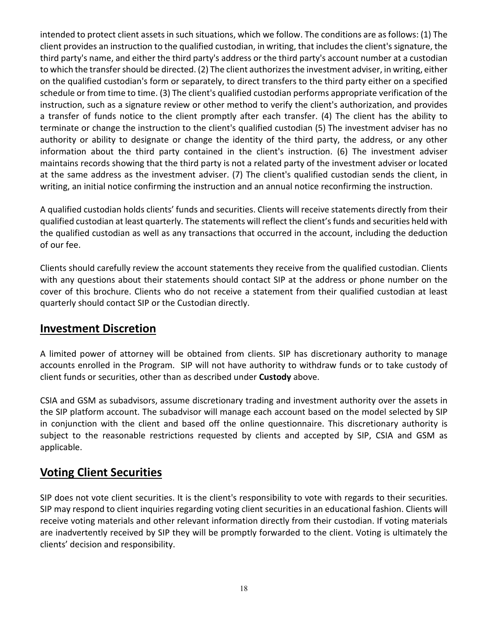intended to protect client assets in such situations, which we follow. The conditions are as follows: (1) The client provides an instruction to the qualified custodian, in writing, that includes the client's signature, the third party's name, and either the third party's address or the third party's account number at a custodian to which the transfer should be directed. (2) The client authorizes the investment adviser, in writing, either on the qualified custodian's form or separately, to direct transfers to the third party either on a specified schedule or from time to time. (3) The client's qualified custodian performs appropriate verification of the instruction, such as a signature review or other method to verify the client's authorization, and provides a transfer of funds notice to the client promptly after each transfer. (4) The client has the ability to terminate or change the instruction to the client's qualified custodian (5) The investment adviser has no authority or ability to designate or change the identity of the third party, the address, or any other information about the third party contained in the client's instruction. (6) The investment adviser maintains records showing that the third party is not a related party of the investment adviser or located at the same address as the investment adviser. (7) The client's qualified custodian sends the client, in writing, an initial notice confirming the instruction and an annual notice reconfirming the instruction.

A qualified custodian holds clients' funds and securities. Clients will receive statements directly from their qualified custodian at least quarterly. The statements will reflect the client's funds and securities held with the qualified custodian as well as any transactions that occurred in the account, including the deduction of our fee.

Clients should carefully review the account statements they receive from the qualified custodian. Clients with any questions about their statements should contact SIP at the address or phone number on the cover of this brochure. Clients who do not receive a statement from their qualified custodian at least quarterly should contact SIP or the Custodian directly.

## <span id="page-17-0"></span>**Investment Discretion**

A limited power of attorney will be obtained from clients. SIP has discretionary authority to manage accounts enrolled in the Program. SIP will not have authority to withdraw funds or to take custody of client funds or securities, other than as described under **Custody** above.

CSIA and GSM as subadvisors, assume discretionary trading and investment authority over the assets in the SIP platform account. The subadvisor will manage each account based on the model selected by SIP in conjunction with the client and based off the online questionnaire. This discretionary authority is subject to the reasonable restrictions requested by clients and accepted by SIP, CSIA and GSM as applicable.

# <span id="page-17-1"></span>**Voting Client Securities**

SIP does not vote client securities. It is the client's responsibility to vote with regards to their securities. SIP may respond to client inquiries regarding voting client securities in an educational fashion. Clients will receive voting materials and other relevant information directly from their custodian. If voting materials are inadvertently received by SIP they will be promptly forwarded to the client. Voting is ultimately the clients' decision and responsibility.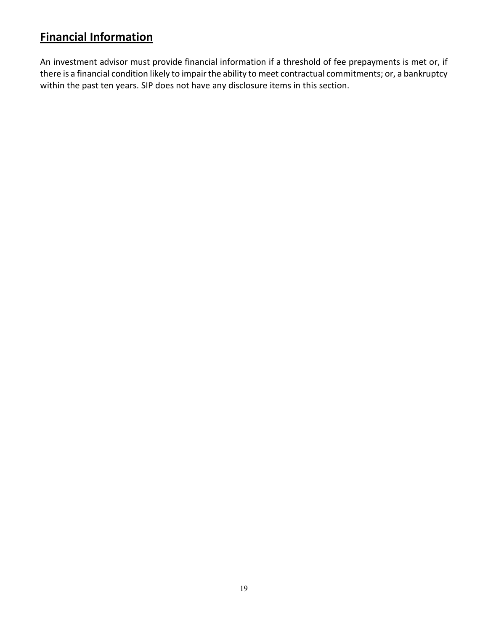# <span id="page-18-0"></span>**Financial Information**

An investment advisor must provide financial information if a threshold of fee prepayments is met or, if there is a financial condition likely to impair the ability to meet contractual commitments; or, a bankruptcy within the past ten years. SIP does not have any disclosure items in this section.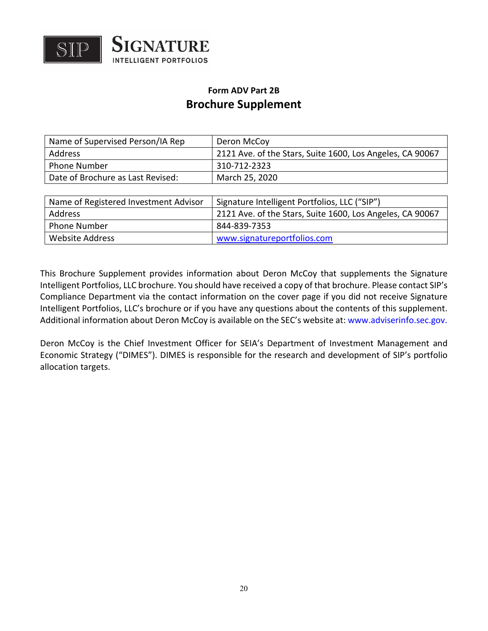

# **Form ADV Part 2B Brochure Supplement**

| Name of Supervised Person/IA Rep  | Deron McCov                                               |
|-----------------------------------|-----------------------------------------------------------|
| <b>Address</b>                    | 2121 Ave. of the Stars, Suite 1600, Los Angeles, CA 90067 |
| <b>Phone Number</b>               | 310-712-2323                                              |
| Date of Brochure as Last Revised: | March 25, 2020                                            |

| Name of Registered Investment Advisor | Signature Intelligent Portfolios, LLC ("SIP")             |
|---------------------------------------|-----------------------------------------------------------|
| Address                               | 2121 Ave. of the Stars, Suite 1600, Los Angeles, CA 90067 |
| <b>Phone Number</b>                   | 844-839-7353                                              |
| Website Address                       | www.signatureportfolios.com                               |

This Brochure Supplement provides information about Deron McCoy that supplements the Signature Intelligent Portfolios, LLC brochure. You should have received a copy of that brochure. Please contact SIP's Compliance Department via the contact information on the cover page if you did not receive Signature Intelligent Portfolios, LLC's brochure or if you have any questions about the contents of this supplement. Additional information about Deron McCoy is available on the SEC's website at: www.adviserinfo.sec.gov.

Deron McCoy is the Chief Investment Officer for SEIA's Department of Investment Management and Economic Strategy ("DIMES"). DIMES is responsible for the research and development of SIP's portfolio allocation targets.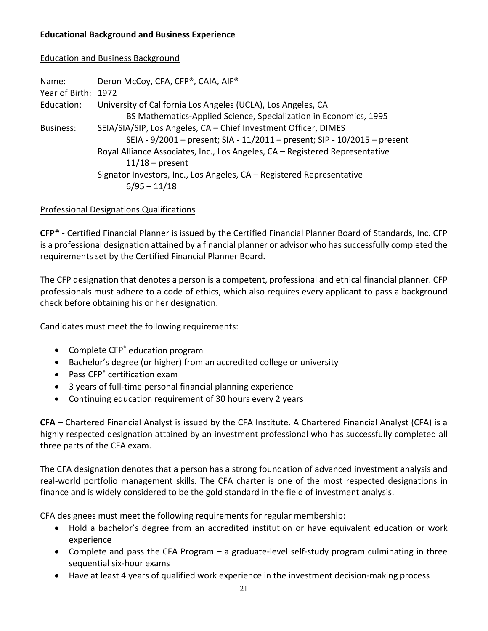#### **Educational Background and Business Experience**

#### Education and Business Background

| Name:               | Deron McCoy, CFA, CFP®, CAIA, AIF®                                           |
|---------------------|------------------------------------------------------------------------------|
| Year of Birth: 1972 |                                                                              |
| Education:          | University of California Los Angeles (UCLA), Los Angeles, CA                 |
|                     | BS Mathematics-Applied Science, Specialization in Economics, 1995            |
| <b>Business:</b>    | SEIA/SIA/SIP, Los Angeles, CA - Chief Investment Officer, DIMES              |
|                     | SEIA - 9/2001 - present; SIA - 11/2011 - present; SIP - 10/2015 - present    |
|                     | Royal Alliance Associates, Inc., Los Angeles, CA - Registered Representative |
|                     | $11/18$ – present                                                            |
|                     | Signator Investors, Inc., Los Angeles, CA - Registered Representative        |
|                     | $6/95 - 11/18$                                                               |

#### Professional Designations Qualifications

**CFP**® - Certified Financial Planner is issued by the Certified Financial Planner Board of Standards, Inc. CFP is a professional designation attained by a financial planner or advisor who has successfully completed the requirements set by the Certified Financial Planner Board.

The CFP designation that denotes a person is a competent, professional and ethical financial planner. CFP professionals must adhere to a code of ethics, which also requires every applicant to pass a background check before obtaining his or her designation.

Candidates must meet the following requirements:

- Complete CFP<sup>®</sup> education program
- Bachelor's degree (or higher) from an accredited college or university
- Pass CFP<sup>®</sup> certification exam
- 3 years of full-time personal financial planning experience
- Continuing education requirement of 30 hours every 2 years

**CFA** – Chartered Financial Analyst is issued by the CFA Institute. A Chartered Financial Analyst (CFA) is a highly respected designation attained by an investment professional who has successfully completed all three parts of the CFA exam.

The CFA designation denotes that a person has a strong foundation of advanced investment analysis and real-world portfolio management skills. The CFA charter is one of the most respected designations in finance and is widely considered to be the gold standard in the field of investment analysis.

CFA designees must meet the following requirements for regular membership:

- Hold a bachelor's degree from an accredited institution or have equivalent education or work experience
- Complete and pass the CFA Program a graduate-level self-study program culminating in three sequential six-hour exams
- Have at least 4 years of qualified work experience in the investment decision-making process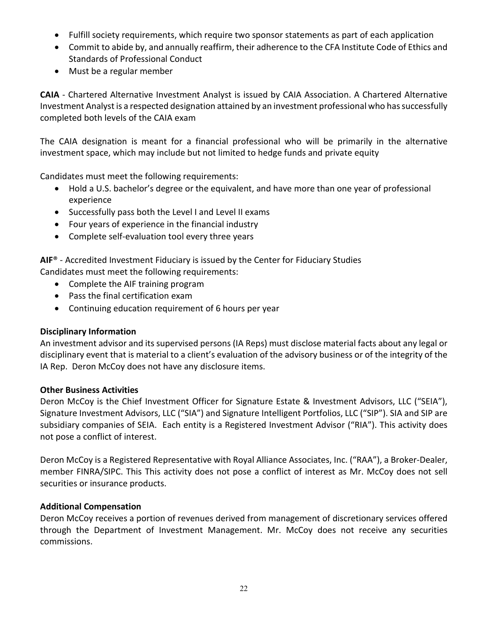- Fulfill society requirements, which require two sponsor statements as part of each application
- Commit to abide by, and annually reaffirm, their adherence to the CFA Institute Code of Ethics and Standards of Professional Conduct
- Must be a regular member

**CAIA** - Chartered Alternative Investment Analyst is issued by CAIA Association. A Chartered Alternative Investment Analyst is a respected designation attained by an investment professional who has successfully completed both levels of the CAIA exam

The CAIA designation is meant for a financial professional who will be primarily in the alternative investment space, which may include but not limited to hedge funds and private equity

Candidates must meet the following requirements:

- Hold a U.S. bachelor's degree or the equivalent, and have more than one year of professional experience
- Successfully pass both the Level I and Level II exams
- Four years of experience in the financial industry
- Complete self-evaluation tool every three years

**AIF**® - Accredited Investment Fiduciary is issued by the Center for Fiduciary Studies

Candidates must meet the following requirements:

- Complete the AIF training program
- Pass the final certification exam
- Continuing education requirement of 6 hours per year

#### **Disciplinary Information**

An investment advisor and its supervised persons (IA Reps) must disclose material facts about any legal or disciplinary event that is material to a client's evaluation of the advisory business or of the integrity of the IA Rep. Deron McCoy does not have any disclosure items.

#### **Other Business Activities**

Deron McCoy is the Chief Investment Officer for Signature Estate & Investment Advisors, LLC ("SEIA"), Signature Investment Advisors, LLC ("SIA") and Signature Intelligent Portfolios, LLC ("SIP"). SIA and SIP are subsidiary companies of SEIA. Each entity is a Registered Investment Advisor ("RIA"). This activity does not pose a conflict of interest.

Deron McCoy is a Registered Representative with Royal Alliance Associates, Inc. ("RAA"), a Broker-Dealer, member FINRA/SIPC. This This activity does not pose a conflict of interest as Mr. McCoy does not sell securities or insurance products.

#### **Additional Compensation**

Deron McCoy receives a portion of revenues derived from management of discretionary services offered through the Department of Investment Management. Mr. McCoy does not receive any securities commissions.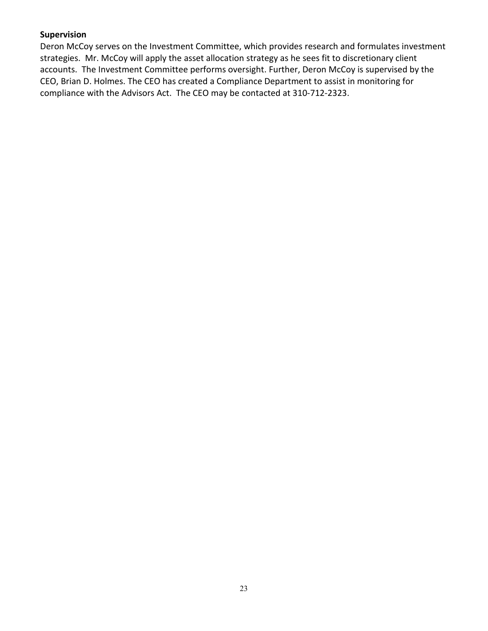#### **Supervision**

Deron McCoy serves on the Investment Committee, which provides research and formulates investment strategies. Mr. McCoy will apply the asset allocation strategy as he sees fit to discretionary client accounts. The Investment Committee performs oversight. Further, Deron McCoy is supervised by the CEO, Brian D. Holmes. The CEO has created a Compliance Department to assist in monitoring for compliance with the Advisors Act. The CEO may be contacted at 310-712-2323.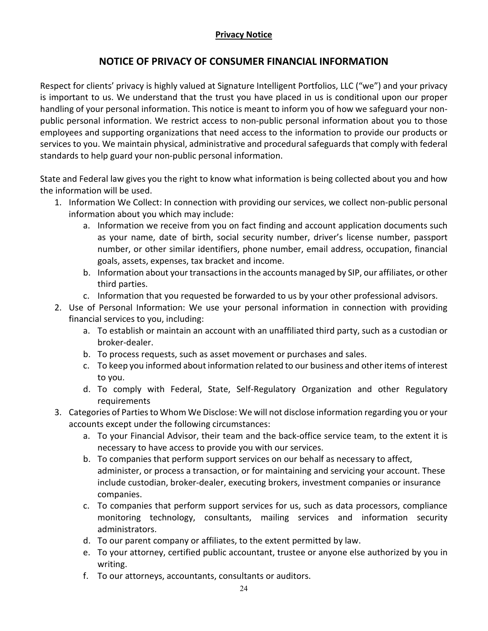#### **Privacy Notice**

#### **NOTICE OF PRIVACY OF CONSUMER FINANCIAL INFORMATION**

<span id="page-23-0"></span>Respect for clients' privacy is highly valued at Signature Intelligent Portfolios, LLC ("we") and your privacy is important to us. We understand that the trust you have placed in us is conditional upon our proper handling of your personal information. This notice is meant to inform you of how we safeguard your nonpublic personal information. We restrict access to non-public personal information about you to those employees and supporting organizations that need access to the information to provide our products or services to you. We maintain physical, administrative and procedural safeguards that comply with federal standards to help guard your non-public personal information.

State and Federal law gives you the right to know what information is being collected about you and how the information will be used.

- 1. Information We Collect: In connection with providing our services, we collect non-public personal information about you which may include:
	- a. Information we receive from you on fact finding and account application documents such as your name, date of birth, social security number, driver's license number, passport number, or other similar identifiers, phone number, email address, occupation, financial goals, assets, expenses, tax bracket and income.
	- b. Information about your transactions in the accounts managed by SIP, our affiliates, or other third parties.
	- c. Information that you requested be forwarded to us by your other professional advisors.
- 2. Use of Personal Information: We use your personal information in connection with providing financial services to you, including:
	- a. To establish or maintain an account with an unaffiliated third party, such as a custodian or broker-dealer.
	- b. To process requests, such as asset movement or purchases and sales.
	- c. To keep you informed about information related to our business and other items of interest to you.
	- d. To comply with Federal, State, Self-Regulatory Organization and other Regulatory requirements
- 3. Categories of Parties to Whom We Disclose: We will not disclose information regarding you or your accounts except under the following circumstances:
	- a. To your Financial Advisor, their team and the back-office service team, to the extent it is necessary to have access to provide you with our services.
	- b. To companies that perform support services on our behalf as necessary to affect, administer, or process a transaction, or for maintaining and servicing your account. These include custodian, broker-dealer, executing brokers, investment companies or insurance companies.
	- c. To companies that perform support services for us, such as data processors, compliance monitoring technology, consultants, mailing services and information security administrators.
	- d. To our parent company or affiliates, to the extent permitted by law.
	- e. To your attorney, certified public accountant, trustee or anyone else authorized by you in writing.
	- f. To our attorneys, accountants, consultants or auditors.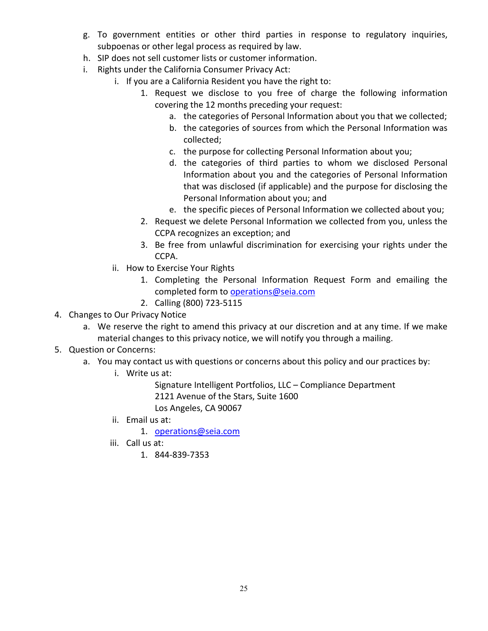- g. To government entities or other third parties in response to regulatory inquiries, subpoenas or other legal process as required by law.
- h. SIP does not sell customer lists or customer information.
- i. Rights under the California Consumer Privacy Act:
	- i. If you are a California Resident you have the right to:
		- 1. Request we disclose to you free of charge the following information covering the 12 months preceding your request:
			- a. the categories of Personal Information about you that we collected;
			- b. the categories of sources from which the Personal Information was collected;
			- c. the purpose for collecting Personal Information about you;
			- d. the categories of third parties to whom we disclosed Personal Information about you and the categories of Personal Information that was disclosed (if applicable) and the purpose for disclosing the Personal Information about you; and
			- e. the specific pieces of Personal Information we collected about you;
		- 2. Request we delete Personal Information we collected from you, unless the CCPA recognizes an exception; and
		- 3. Be free from unlawful discrimination for exercising your rights under the CCPA.
	- ii. How to Exercise Your Rights
		- 1. Completing the Personal Information Request Form and emailing the completed form to [operations@seia.com](mailto:operations@seia.com)
		- 2. Calling (800) 723-5115
- 4. Changes to Our Privacy Notice
	- a. We reserve the right to amend this privacy at our discretion and at any time. If we make material changes to this privacy notice, we will notify you through a mailing.
- 5. Question or Concerns:
	- a. You may contact us with questions or concerns about this policy and our practices by:
		- i. Write us at:

Signature Intelligent Portfolios, LLC – Compliance Department 2121 Avenue of the Stars, Suite 1600 Los Angeles, CA 90067

ii. Email us at:

1. [operations@seia.com](mailto:operations@seia.com)

- iii. Call us at:
	- 1. 844-839-7353